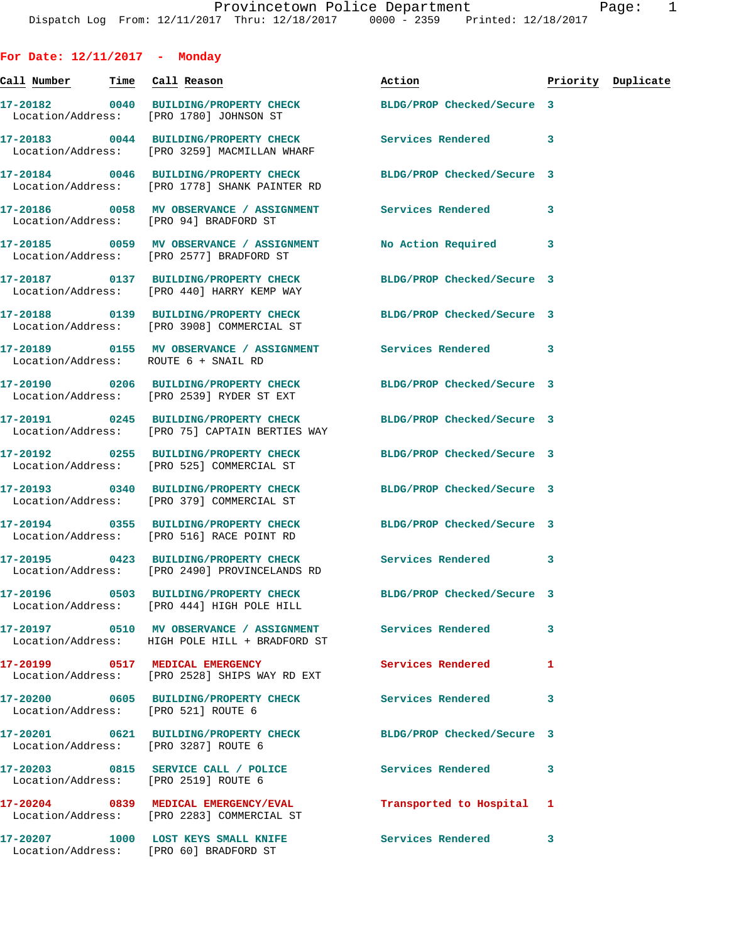**For Date: 12/11/2017 - Monday Call Number Time Call Reason Action Priority Duplicate 17-20182 0040 BUILDING/PROPERTY CHECK BLDG/PROP Checked/Secure 3**  Location/Address: [PRO 1780] JOHNSON ST **17-20183 0044 BUILDING/PROPERTY CHECK Services Rendered 3**  Location/Address: [PRO 3259] MACMILLAN WHARF **17-20184 0046 BUILDING/PROPERTY CHECK BLDG/PROP Checked/Secure 3**  Location/Address: [PRO 1778] SHANK PAINTER RD **17-20186 0058 MV OBSERVANCE / ASSIGNMENT Services Rendered 3**  Location/Address: [PRO 94] BRADFORD ST **17-20185 0059 MV OBSERVANCE / ASSIGNMENT No Action Required 3**  Location/Address: [PRO 2577] BRADFORD ST **17-20187 0137 BUILDING/PROPERTY CHECK BLDG/PROP Checked/Secure 3**  Location/Address: [PRO 440] HARRY KEMP WAY **17-20188 0139 BUILDING/PROPERTY CHECK BLDG/PROP Checked/Secure 3**  Location/Address: [PRO 3908] COMMERCIAL ST **17-20189 0155 MV OBSERVANCE / ASSIGNMENT Services Rendered 3**  Location/Address: ROUTE 6 + SNAIL RD **17-20190 0206 BUILDING/PROPERTY CHECK BLDG/PROP Checked/Secure 3**  Location/Address: [PRO 2539] RYDER ST EXT **17-20191 0245 BUILDING/PROPERTY CHECK BLDG/PROP Checked/Secure 3**  Location/Address: [PRO 75] CAPTAIN BERTIES WAY **17-20192 0255 BUILDING/PROPERTY CHECK BLDG/PROP Checked/Secure 3**  Location/Address: [PRO 525] COMMERCIAL ST **17-20193 0340 BUILDING/PROPERTY CHECK BLDG/PROP Checked/Secure 3**  Location/Address: [PRO 379] COMMERCIAL ST **17-20194 0355 BUILDING/PROPERTY CHECK BLDG/PROP Checked/Secure 3**  Location/Address: [PRO 516] RACE POINT RD **17-20195 0423 BUILDING/PROPERTY CHECK Services Rendered 3**  Location/Address: [PRO 2490] PROVINCELANDS RD **17-20196 0503 BUILDING/PROPERTY CHECK BLDG/PROP Checked/Secure 3**  Location/Address: [PRO 444] HIGH POLE HILL **17-20197 0510 MV OBSERVANCE / ASSIGNMENT Services Rendered 3**  Location/Address: HIGH POLE HILL + BRADFORD ST **17-20199 0517 MEDICAL EMERGENCY Services Rendered 1**  Location/Address: [PRO 2528] SHIPS WAY RD EXT **17-20200 0605 BUILDING/PROPERTY CHECK Services Rendered 3**  Location/Address: [PRO 521] ROUTE 6 **17-20201 0621 BUILDING/PROPERTY CHECK BLDG/PROP Checked/Secure 3**  Location/Address: [PRO 3287] ROUTE 6 **17-20203 0815 SERVICE CALL / POLICE Services Rendered 3**  Location/Address: [PRO 2519] ROUTE 6 **17-20204 0839 MEDICAL EMERGENCY/EVAL Transported to Hospital 1**  Location/Address: [PRO 2283] COMMERCIAL ST

**17-20207 1000 LOST KEYS SMALL KNIFE Services Rendered 3**  Location/Address: [PRO 60] BRADFORD ST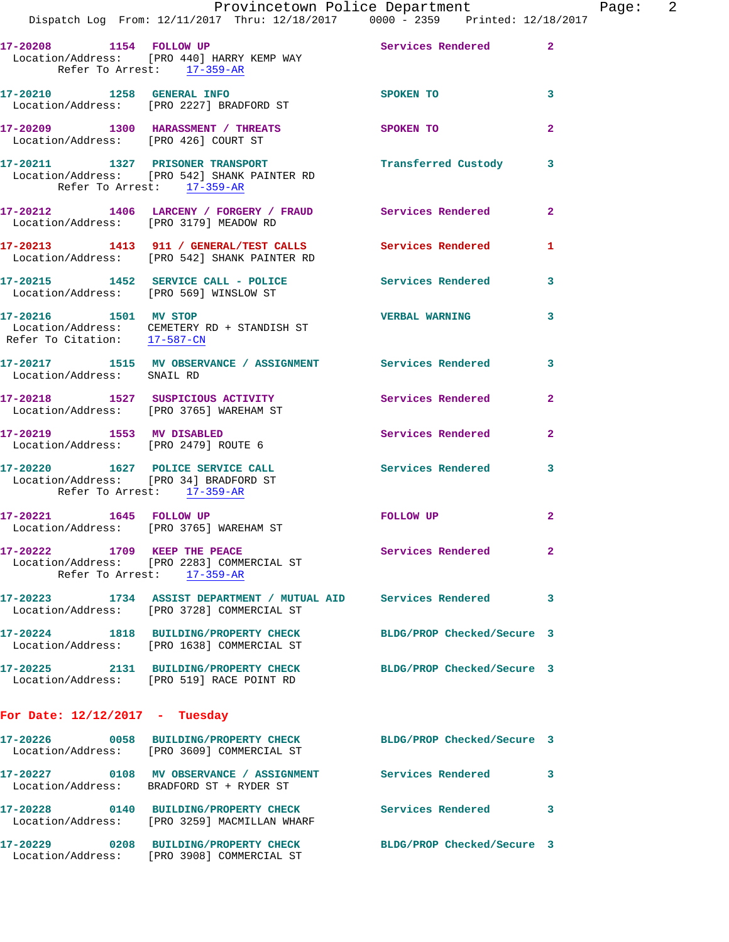|                                                                                                           | Provincetown Police Department<br>Dispatch Log From: 12/11/2017 Thru: 12/18/2017 0000 - 2359 Printed: 12/18/2017 |                            |                |
|-----------------------------------------------------------------------------------------------------------|------------------------------------------------------------------------------------------------------------------|----------------------------|----------------|
| Refer To Arrest: 17-359-AR                                                                                | 17-20208 1154 FOLLOW UP<br>Location/Address: [PRO 440] HARRY KEMP WAY                                            | Services Rendered          | $\mathbf{2}$   |
| 17-20210 1258 GENERAL INFO                                                                                | Location/Address: [PRO 2227] BRADFORD ST                                                                         | SPOKEN TO                  | 3              |
| Location/Address: [PRO 426] COURT ST                                                                      | 17-20209 1300 HARASSMENT / THREATS SPOKEN TO                                                                     |                            | $\overline{a}$ |
| Refer To Arrest: 17-359-AR                                                                                | 17-20211 1327 PRISONER TRANSPORT<br>Location/Address: [PRO 542] SHANK PAINTER RD                                 | Transferred Custody        | 3              |
|                                                                                                           | 17-20212 1406 LARCENY / FORGERY / FRAUD Services Rendered<br>Location/Address: [PRO 3179] MEADOW RD              |                            | $\mathbf{2}$   |
|                                                                                                           | 17-20213 1413 911 / GENERAL/TEST CALLS Services Rendered<br>Location/Address: [PRO 542] SHANK PAINTER RD         |                            | 1              |
|                                                                                                           | 17-20215 1452 SERVICE CALL - POLICE<br>Location/Address: [PRO 569] WINSLOW ST                                    | Services Rendered          | 3              |
| 17-20216 1501 MV STOP<br>Refer To Citation: 17-587-CN                                                     | Location/Address: CEMETERY RD + STANDISH ST                                                                      | <b>VERBAL WARNING</b>      | 3              |
| Location/Address: SNAIL RD                                                                                | 17-20217 1515 MV OBSERVANCE / ASSIGNMENT Services Rendered                                                       |                            | 3              |
| Location/Address: [PRO 3765] WAREHAM ST                                                                   | 17-20218 1527 SUSPICIOUS ACTIVITY 1991 Services Rendered                                                         |                            | $\mathbf{2}$   |
| 17-20219 1553 MV DISABLED<br>Location/Address: [PRO 2479] ROUTE 6                                         |                                                                                                                  | Services Rendered          | $\mathbf{2}$   |
| 17-20220 1627 POLICE SERVICE CALL<br>Location/Address: [PRO 34] BRADFORD ST<br>Refer To Arrest: 17-359-AR |                                                                                                                  | Services Rendered          | 3              |
| 17-20221 1645 FOLLOW UP                                                                                   | Location/Address: [PRO 3765] WAREHAM ST                                                                          | FOLLOW UP                  | $\mathbf{2}$   |
| 17-20222 1709 KEEP THE PEACE                                                                              | Location/Address: [PRO 2283] COMMERCIAL ST<br>Refer To Arrest: 17-359-AR                                         | Services Rendered          | 2              |
|                                                                                                           | 17-20223 1734 ASSIST DEPARTMENT / MUTUAL AID Services Rendered<br>Location/Address: [PRO 3728] COMMERCIAL ST     |                            | 3              |
|                                                                                                           | 17-20224 1818 BUILDING/PROPERTY CHECK<br>Location/Address: [PRO 1638] COMMERCIAL ST                              | BLDG/PROP Checked/Secure 3 |                |
|                                                                                                           | 17-20225 2131 BUILDING/PROPERTY CHECK BLDG/PROP Checked/Secure 3<br>Location/Address: [PRO 519] RACE POINT RD    |                            |                |
| For Date: $12/12/2017$ - Tuesday                                                                          |                                                                                                                  |                            |                |
|                                                                                                           | 17-20226 0058 BUILDING/PROPERTY CHECK BLDG/PROP Checked/Secure 3<br>Location/Address: [PRO 3609] COMMERCIAL ST   |                            |                |
|                                                                                                           | 17-20227  0108 MV OBSERVANCE / ASSIGNMENT Services Rendered<br>Location/Address: BRADFORD ST + RYDER ST          |                            | 3              |
|                                                                                                           | Location/Address: [PRO 3259] MACMILLAN WHARF                                                                     | Services Rendered          | 3              |

**17-20229 0208 BUILDING/PROPERTY CHECK BLDG/PROP Checked/Secure 3**  Location/Address: [PRO 3908] COMMERCIAL ST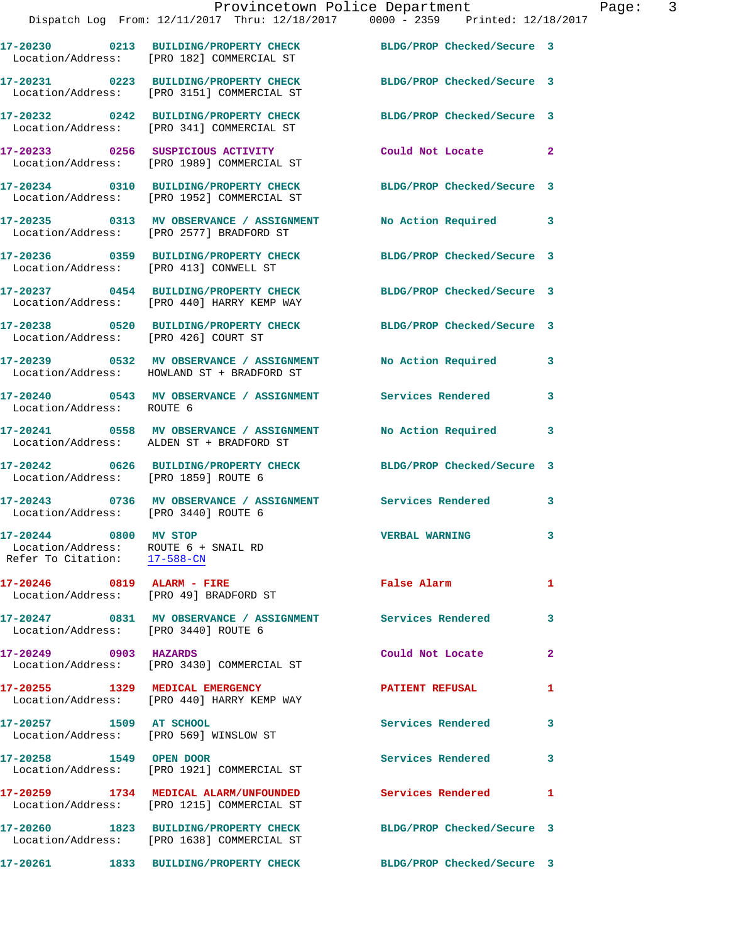|                                                                                               | Dispatch Log From: 12/11/2017 Thru: 12/18/2017 0000 - 2359 Printed: 12/18/2017                                 | Provincetown Police Department The Page: |   | $\overline{3}$ |
|-----------------------------------------------------------------------------------------------|----------------------------------------------------------------------------------------------------------------|------------------------------------------|---|----------------|
|                                                                                               | 17-20230 0213 BUILDING/PROPERTY CHECK BLDG/PROP Checked/Secure 3<br>Location/Address: [PRO 182] COMMERCIAL ST  |                                          |   |                |
|                                                                                               | 17-20231 0223 BUILDING/PROPERTY CHECK BLDG/PROP Checked/Secure 3<br>Location/Address: [PRO 3151] COMMERCIAL ST |                                          |   |                |
|                                                                                               | 17-20232 0242 BUILDING/PROPERTY CHECK BLDG/PROP Checked/Secure 3<br>Location/Address: [PRO 341] COMMERCIAL ST  |                                          |   |                |
|                                                                                               | 17-20233 0256 SUSPICIOUS ACTIVITY Could Not Locate 2<br>Location/Address: [PRO 1989] COMMERCIAL ST             |                                          |   |                |
|                                                                                               | 17-20234 0310 BUILDING/PROPERTY CHECK BLDG/PROP Checked/Secure 3<br>Location/Address: [PRO 1952] COMMERCIAL ST |                                          |   |                |
|                                                                                               | 17-20235  0313 MV OBSERVANCE / ASSIGNMENT  No Action Required  3<br>Location/Address: [PRO 2577] BRADFORD ST   |                                          |   |                |
|                                                                                               | 17-20236 0359 BUILDING/PROPERTY CHECK BLDG/PROP Checked/Secure 3<br>Location/Address: [PRO 413] CONWELL ST     |                                          |   |                |
|                                                                                               | 17-20237 0454 BUILDING/PROPERTY CHECK BLDG/PROP Checked/Secure 3<br>Location/Address: [PRO 440] HARRY KEMP WAY |                                          |   |                |
|                                                                                               | 17-20238 0520 BUILDING/PROPERTY CHECK BLDG/PROP Checked/Secure 3<br>Location/Address: [PRO 426] COURT ST       |                                          |   |                |
|                                                                                               | 17-20239 0532 MV OBSERVANCE / ASSIGNMENT No Action Required 3<br>Location/Address: HOWLAND ST + BRADFORD ST    |                                          |   |                |
| Location/Address: ROUTE 6                                                                     | 17-20240 0543 MV OBSERVANCE / ASSIGNMENT Services Rendered                                                     |                                          | 3 |                |
|                                                                                               | 17-20241 0558 MV OBSERVANCE / ASSIGNMENT No Action Required 3<br>Location/Address: ALDEN ST + BRADFORD ST      |                                          |   |                |
| Location/Address: [PRO 1859] ROUTE 6                                                          | 17-20242 0626 BUILDING/PROPERTY CHECK BLDG/PROP Checked/Secure 3                                               |                                          |   |                |
| Location/Address: [PRO 3440] ROUTE 6                                                          | 17-20243 0736 MV OBSERVANCE / ASSIGNMENT                                                                       | Services Rendered                        | 3 |                |
| 17-20244 0800 MV STOP<br>Location/Address: ROUTE 6 + SNAIL RD<br>Refer To Citation: 17-588-CN |                                                                                                                | <b>VERBAL WARNING</b>                    | 3 |                |
| 17-20246 0819 ALARM - FIRE<br>Location/Address: [PRO 49] BRADFORD ST                          |                                                                                                                | False Alarm                              | 1 |                |
| Location/Address: [PRO 3440] ROUTE 6                                                          | 17-20247 0831 MV OBSERVANCE / ASSIGNMENT                                                                       | <b>Services Rendered</b>                 | 3 |                |
|                                                                                               |                                                                                                                |                                          |   |                |

**17-20249 0903 HAZARDS Could Not Locate 2**  Location/Address: [PRO 3430] COMMERCIAL ST

**17-20255 1329 MEDICAL EMERGENCY PATIENT REFUSAL 1**  Location/Address: [PRO 440] HARRY KEMP WAY

**17-20257 1509 AT SCHOOL Services Rendered 3** 

**17-20258 1549 OPEN DOOR Services Rendered 3** 

Location/Address: [PRO 569] WINSLOW ST

Location/Address: [PRO 1921] COMMERCIAL ST

**17-20259 1734 MEDICAL ALARM/UNFOUNDED Services Rendered 1**  Location/Address: [PRO 1215] COMMERCIAL ST

**17-20260 1823 BUILDING/PROPERTY CHECK BLDG/PROP Checked/Secure 3**  Location/Address: [PRO 1638] COMMERCIAL ST

**17-20261 1833 BUILDING/PROPERTY CHECK BLDG/PROP Checked/Secure 3**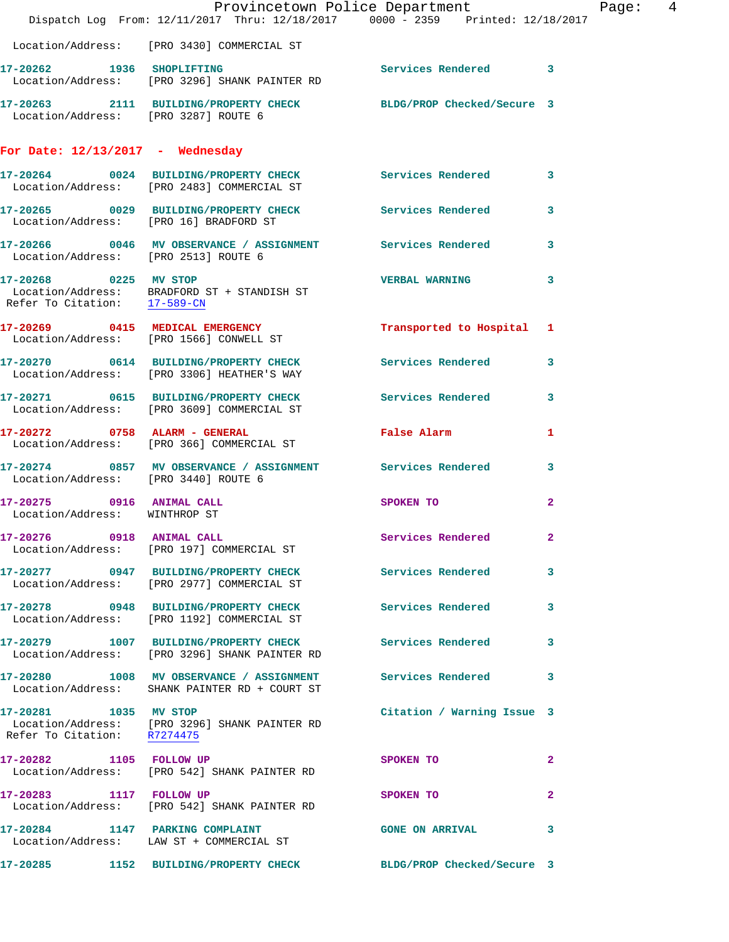|                                                            | Provincetown Police Department<br>Dispatch Log From: 12/11/2017 Thru: 12/18/2017 0000 - 2359 Printed: 12/18/2017 |                            | Page: 4      |  |
|------------------------------------------------------------|------------------------------------------------------------------------------------------------------------------|----------------------------|--------------|--|
|                                                            | Location/Address: [PRO 3430] COMMERCIAL ST                                                                       |                            |              |  |
|                                                            | 17-20262 1936 SHOPLIFTING<br>Location/Address: [PRO 3296] SHANK PAINTER RD                                       | Services Rendered 3        |              |  |
| Location/Address: [PRO 3287] ROUTE 6                       | 17-20263 2111 BUILDING/PROPERTY CHECK BLDG/PROP Checked/Secure 3                                                 |                            |              |  |
| For Date: $12/13/2017$ - Wednesday                         |                                                                                                                  |                            |              |  |
|                                                            | 17-20264 0024 BUILDING/PROPERTY CHECK Services Rendered 3<br>Location/Address: [PRO 2483] COMMERCIAL ST          |                            |              |  |
|                                                            | 17-20265 0029 BUILDING/PROPERTY CHECK Services Rendered 3<br>Location/Address: [PRO 16] BRADFORD ST              |                            |              |  |
| Location/Address: [PRO 2513] ROUTE 6                       | 17-20266 0046 MV OBSERVANCE / ASSIGNMENT Services Rendered 3                                                     |                            |              |  |
| 17-20268 0225 MV STOP<br>Refer To Citation: 17-589-CN      | Location/Address: BRADFORD ST + STANDISH ST                                                                      | VERBAL WARNING 3           |              |  |
|                                                            | 17-20269 0415 MEDICAL EMERGENCY Transported to Hospital 1<br>Location/Address: [PRO 1566] CONWELL ST             |                            |              |  |
|                                                            | 17-20270 0614 BUILDING/PROPERTY CHECK Services Rendered 3<br>Location/Address: [PRO 3306] HEATHER'S WAY          |                            |              |  |
|                                                            | 17-20271   0615   BUILDING/PROPERTY CHECK   Services Rendered   3<br>Location/Address: [PRO 3609] COMMERCIAL ST  |                            |              |  |
|                                                            | 17-20272 0758 ALARM - GENERAL<br>Location/Address: [PRO 366] COMMERCIAL ST                                       | False Alarm                | 1            |  |
| Location/Address: [PRO 3440] ROUTE 6                       | 17-20274 0857 MV OBSERVANCE / ASSIGNMENT Services Rendered 3                                                     |                            |              |  |
| 17-20275 0916 ANIMAL CALL<br>Location/Address: WINTHROP ST |                                                                                                                  | <b>SPOKEN TO</b>           | $\mathbf{2}$ |  |
| 17-20276 0918 ANIMAL CALL                                  | Location/Address: [PRO 197] COMMERCIAL ST                                                                        | Services Rendered          | $\mathbf{2}$ |  |
|                                                            | 17-20277 0947 BUILDING/PROPERTY CHECK Services Rendered 3<br>Location/Address: [PRO 2977] COMMERCIAL ST          |                            |              |  |
|                                                            | 17-20278 0948 BUILDING/PROPERTY CHECK<br>Location/Address: [PRO 1192] COMMERCIAL ST                              | <b>Services Rendered</b>   | 3            |  |
|                                                            | 17-20279 1007 BUILDING/PROPERTY CHECK Services Rendered<br>Location/Address: [PRO 3296] SHANK PAINTER RD         |                            | 3            |  |
|                                                            | 17-20280 1008 MV OBSERVANCE / ASSIGNMENT<br>Location/Address: SHANK PAINTER RD + COURT ST                        | <b>Services Rendered</b>   | 3            |  |
| 17-20281 1035 MV STOP<br>Refer To Citation: R7274475       | Location/Address: [PRO 3296] SHANK PAINTER RD                                                                    | Citation / Warning Issue 3 |              |  |
| 17-20282 1105 FOLLOW UP                                    | Location/Address: [PRO 542] SHANK PAINTER RD                                                                     | SPOKEN TO                  | 2            |  |
| 17-20283 1117 FOLLOW UP                                    | Location/Address: [PRO 542] SHANK PAINTER RD                                                                     | SPOKEN TO                  | $\mathbf{2}$ |  |
|                                                            | 17-20284 1147 PARKING COMPLAINT<br>Location/Address: LAW ST + COMMERCIAL ST                                      | <b>GONE ON ARRIVAL</b>     | 3            |  |
|                                                            | 17-20285 1152 BUILDING/PROPERTY CHECK                                                                            | BLDG/PROP Checked/Secure 3 |              |  |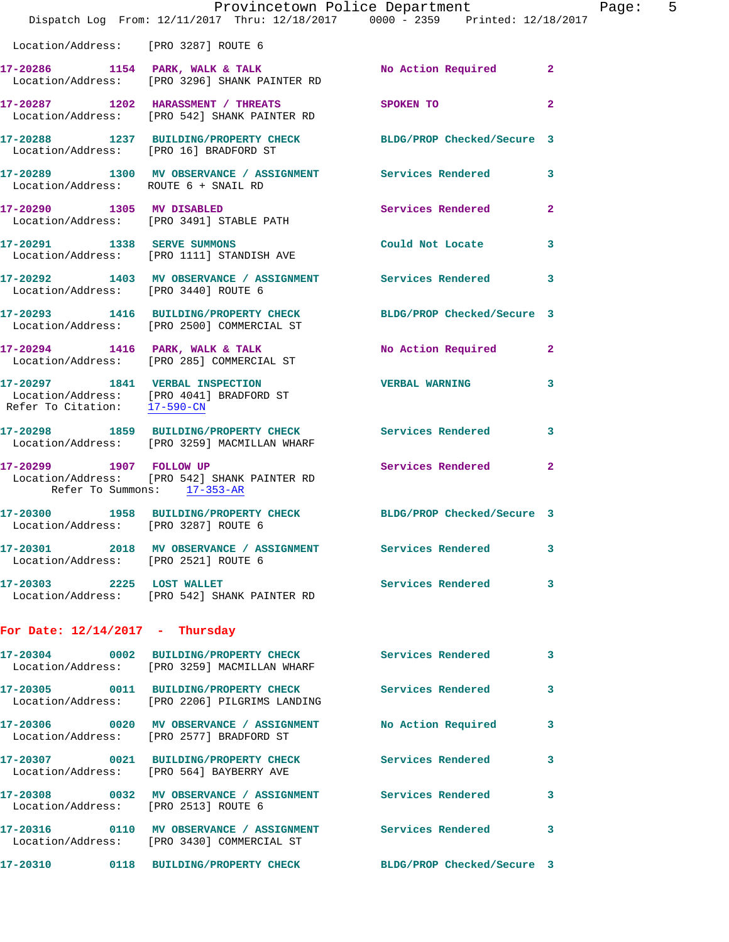|                                      | Dispatch Log From: 12/11/2017 Thru: 12/18/2017 0000 - 2359 Printed: 12/18/2017                                       | Provincetown Police Department | Page: 5                 |  |
|--------------------------------------|----------------------------------------------------------------------------------------------------------------------|--------------------------------|-------------------------|--|
| Location/Address: [PRO 3287] ROUTE 6 |                                                                                                                      |                                |                         |  |
|                                      | 17-20286 1154 PARK, WALK & TALK No Action Required 2<br>Location/Address: [PRO 3296] SHANK PAINTER RD                |                                |                         |  |
|                                      | 17-20287 1202 HARASSMENT / THREATS SPOKEN TO<br>Location/Address: [PRO 542] SHANK PAINTER RD                         |                                | $\mathbf{2}$            |  |
|                                      | 17-20288 1237 BUILDING/PROPERTY CHECK BLDG/PROP Checked/Secure 3<br>Location/Address: [PRO 16] BRADFORD ST           |                                |                         |  |
| Location/Address: ROUTE 6 + SNAIL RD | 17-20289 1300 MV OBSERVANCE / ASSIGNMENT Services Rendered 3                                                         |                                |                         |  |
| 17-20290 1305 MV DISABLED            | Location/Address: [PRO 3491] STABLE PATH                                                                             | Services Rendered              | $\mathbf{2}$            |  |
|                                      | 17-20291 1338 SERVE SUMMONS<br>Location/Address: [PRO 1111] STANDISH AVE                                             | Could Not Locate 3             |                         |  |
| Location/Address: [PRO 3440] ROUTE 6 | 17-20292 1403 MV OBSERVANCE / ASSIGNMENT Services Rendered                                                           |                                | 3                       |  |
|                                      | 17-20293   1416   BUILDING/PROPERTY CHECK   BLDG/PROP Checked/Secure 3<br>Location/Address: [PRO 2500] COMMERCIAL ST |                                |                         |  |
|                                      | 17-20294 1416 PARK, WALK & TALK<br>Location/Address: [PRO 285] COMMERCIAL ST                                         | No Action Required 2           |                         |  |
| Refer To Citation: 17-590-CN         | 17-20297 1841 VERBAL INSPECTION<br>Location/Address: [PRO 4041] BRADFORD ST                                          | <b>VERBAL WARNING</b>          | $\overline{\mathbf{3}}$ |  |
|                                      | 17-20298 1859 BUILDING/PROPERTY CHECK Services Rendered<br>Location/Address: [PRO 3259] MACMILLAN WHARF              |                                | 3                       |  |
| 17-20299 1907 FOLLOW UP              | Location/Address: [PRO 542] SHANK PAINTER RD<br>Refer To Summons: 17-353-AR                                          | Services Rendered              | $\overline{2}$          |  |
| Location/Address: [PRO 3287] ROUTE 6 | 17-20300 1958 BUILDING/PROPERTY CHECK BLDG/PROP Checked/Secure 3                                                     |                                |                         |  |
| Location/Address: [PRO 2521] ROUTE 6 | 17-20301 2018 MV OBSERVANCE / ASSIGNMENT Services Rendered 3                                                         |                                |                         |  |
|                                      | 17-20303 2225 LOST WALLET<br>Location/Address: [PRO 542] SHANK PAINTER RD                                            | <b>Services Rendered</b>       | $\overline{\mathbf{3}}$ |  |
| For Date: $12/14/2017$ - Thursday    |                                                                                                                      |                                |                         |  |
|                                      | 17-20304 0002 BUILDING/PROPERTY CHECK Services Rendered<br>Location/Address: [PRO 3259] MACMILLAN WHARF              |                                | 3                       |  |
|                                      | 17-20305 0011 BUILDING/PROPERTY CHECK Services Rendered 3<br>Location/Address: [PRO 2206] PILGRIMS LANDING           |                                |                         |  |
|                                      | 17-20306 0020 MV OBSERVANCE / ASSIGNMENT<br>Location/Address: [PRO 2577] BRADFORD ST                                 | No Action Required             | 3                       |  |
|                                      | 17-20307 0021 BUILDING/PROPERTY CHECK Services Rendered 3<br>Location/Address: [PRO 564] BAYBERRY AVE                |                                |                         |  |
| Location/Address: [PRO 2513] ROUTE 6 | 17-20308 0032 MV OBSERVANCE / ASSIGNMENT Services Rendered                                                           |                                | 3                       |  |
|                                      | 17-20316 0110 MV OBSERVANCE / ASSIGNMENT Services Rendered<br>Location/Address: [PRO 3430] COMMERCIAL ST             |                                | 3                       |  |
|                                      | 17-20310 0118 BUILDING/PROPERTY CHECK BLDG/PROP Checked/Secure 3                                                     |                                |                         |  |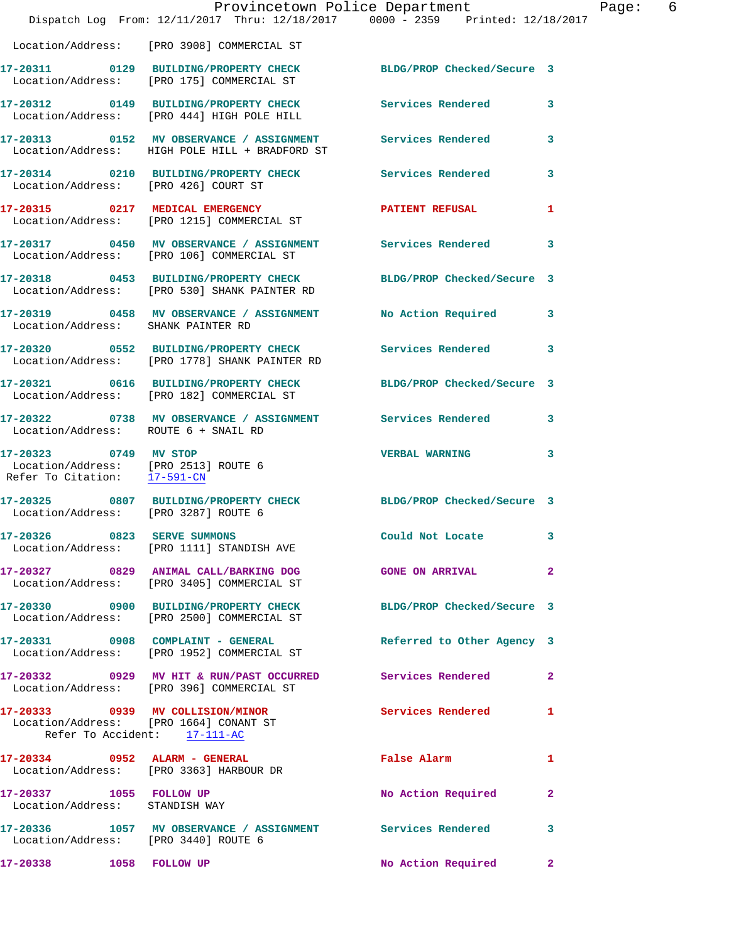|                                                                                               | Provincetown Police Department<br>Dispatch Log From: 12/11/2017 Thru: 12/18/2017 0000 - 2359 Printed: 12/18/2017 |                            |                |
|-----------------------------------------------------------------------------------------------|------------------------------------------------------------------------------------------------------------------|----------------------------|----------------|
|                                                                                               | Location/Address: [PRO 3908] COMMERCIAL ST                                                                       |                            |                |
|                                                                                               | 17-20311 0129 BUILDING/PROPERTY CHECK BLDG/PROP Checked/Secure 3<br>Location/Address: [PRO 175] COMMERCIAL ST    |                            |                |
|                                                                                               | 17-20312 0149 BUILDING/PROPERTY CHECK<br>Location/Address: [PRO 444] HIGH POLE HILL                              | <b>Services Rendered</b>   | 3              |
|                                                                                               | 17-20313 0152 MV OBSERVANCE / ASSIGNMENT Services Rendered<br>Location/Address: HIGH POLE HILL + BRADFORD ST     |                            | 3              |
| Location/Address: [PRO 426] COURT ST                                                          | 17-20314 0210 BUILDING/PROPERTY CHECK Services Rendered                                                          |                            | 3              |
|                                                                                               | 17-20315 0217 MEDICAL EMERGENCY<br>Location/Address: [PRO 1215] COMMERCIAL ST                                    | <b>PATIENT REFUSAL</b>     | 1              |
|                                                                                               | 17-20317 0450 MV OBSERVANCE / ASSIGNMENT Services Rendered<br>Location/Address: [PRO 106] COMMERCIAL ST          |                            | 3              |
|                                                                                               | 17-20318 0453 BUILDING/PROPERTY CHECK<br>Location/Address: [PRO 530] SHANK PAINTER RD                            | BLDG/PROP Checked/Secure 3 |                |
| Location/Address: SHANK PAINTER RD                                                            | 17-20319 0458 MV OBSERVANCE / ASSIGNMENT                                                                         | <b>No Action Required</b>  | 3              |
|                                                                                               | 17-20320 0552 BUILDING/PROPERTY CHECK<br>Location/Address: [PRO 1778] SHANK PAINTER RD                           | <b>Services Rendered</b>   | 3              |
|                                                                                               | 17-20321 0616 BUILDING/PROPERTY CHECK<br>Location/Address: [PRO 182] COMMERCIAL ST                               | BLDG/PROP Checked/Secure 3 |                |
| Location/Address: ROUTE 6 + SNAIL RD                                                          | 17-20322 0738 MV OBSERVANCE / ASSIGNMENT Services Rendered                                                       |                            | 3              |
| 17-20323 0749 MV STOP<br>Location/Address: [PRO 2513] ROUTE 6<br>Refer To Citation: 17-591-CN |                                                                                                                  | <b>VERBAL WARNING</b>      | 3              |
| Location/Address: [PRO 3287] ROUTE 6                                                          | 17-20325 0807 BUILDING/PROPERTY CHECK BLDG/PROP Checked/Secure 3                                                 |                            |                |
|                                                                                               | 17-20326 0823 SERVE SUMMONS<br>Location/Address: [PRO 1111] STANDISH AVE                                         | Could Not Locate           | 3              |
|                                                                                               | 17-20327 0829 ANIMAL CALL/BARKING DOG GONE ON ARRIVAL<br>Location/Address: [PRO 3405] COMMERCIAL ST              |                            | $\mathbf{2}$   |
|                                                                                               | 17-20330 0900 BUILDING/PROPERTY CHECK BLDG/PROP Checked/Secure 3<br>Location/Address: [PRO 2500] COMMERCIAL ST   |                            |                |
|                                                                                               | 17-20331 0908 COMPLAINT - GENERAL<br>Location/Address: [PRO 1952] COMMERCIAL ST                                  | Referred to Other Agency 3 |                |
|                                                                                               | 17-20332 0929 MV HIT & RUN/PAST OCCURRED Services Rendered<br>Location/Address: [PRO 396] COMMERCIAL ST          |                            | $\overline{2}$ |
| Location/Address: [PRO 1664] CONANT ST<br>Refer To Accident: 17-111-AC                        | 17-20333 0939 MV COLLISION/MINOR                                                                                 | Services Rendered          | 1              |
| 17-20334 0952 ALARM - GENERAL<br>Location/Address: [PRO 3363] HARBOUR DR                      |                                                                                                                  | False Alarm                | 1              |
| 17-20337 1055 FOLLOW UP<br>Location/Address: STANDISH WAY                                     |                                                                                                                  | No Action Required         | 2              |
| Location/Address: [PRO 3440] ROUTE 6                                                          | 17-20336 1057 MV OBSERVANCE / ASSIGNMENT Services Rendered                                                       |                            | 3              |
| 17-20338<br>1058 FOLLOW UP                                                                    |                                                                                                                  | No Action Required         | $\mathbf{2}$   |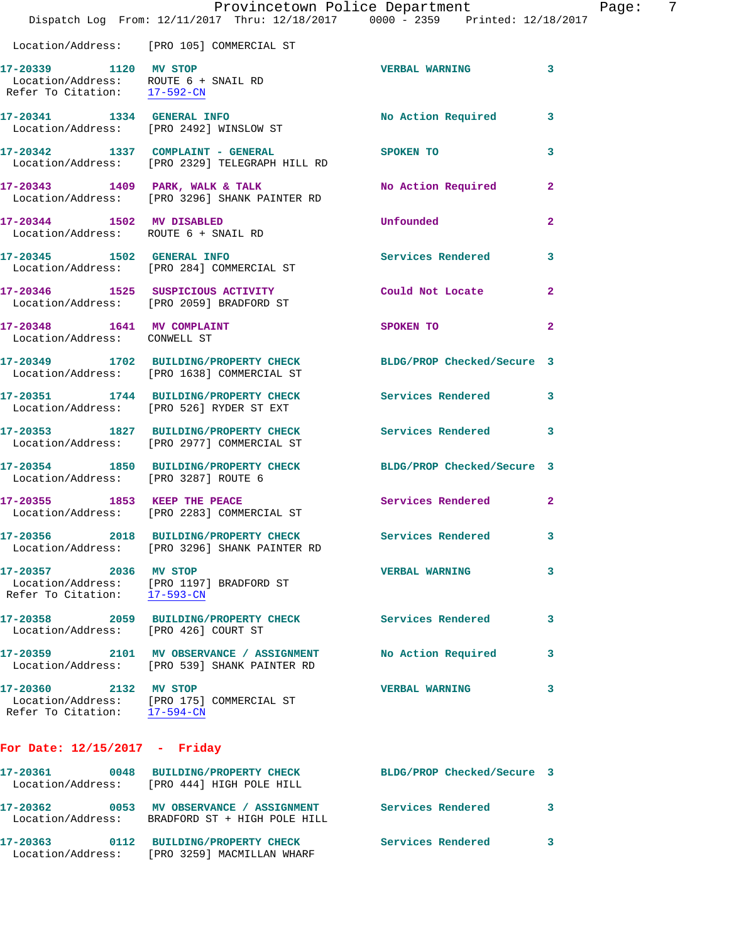|                                                                                                            | Provincetown Police Department<br>Dispatch Log From: 12/11/2017 Thru: 12/18/2017 0000 - 2359 Printed: 12/18/2017 |                           |                         |
|------------------------------------------------------------------------------------------------------------|------------------------------------------------------------------------------------------------------------------|---------------------------|-------------------------|
|                                                                                                            | Location/Address: [PRO 105] COMMERCIAL ST                                                                        |                           |                         |
| 17-20339 1120 MV STOP<br>Location/Address: ROUTE 6 + SNAIL RD<br>Refer To Citation: $\frac{17-592-CN}{27}$ |                                                                                                                  | <b>VERBAL WARNING</b>     | 3                       |
|                                                                                                            | 17-20341 1334 GENERAL INFO<br>Location/Address: [PRO 2492] WINSLOW ST                                            | No Action Required        | 3                       |
|                                                                                                            | 17-20342 1337 COMPLAINT - GENERAL<br>Location/Address: [PRO 2329] TELEGRAPH HILL RD                              | <b>SPOKEN TO</b>          | 3                       |
|                                                                                                            | 17-20343 1409 PARK, WALK & TALK<br>Location/Address: [PRO 3296] SHANK PAINTER RD                                 | <b>No Action Required</b> | 2                       |
|                                                                                                            | 17-20344 1502 MV DISABLED<br>Location/Address: ROUTE 6 + SNAIL RD                                                | Unfounded                 | $\overline{\mathbf{2}}$ |
|                                                                                                            | 17-20345 1502 GENERAL INFO<br>Location/Address: [PRO 284] COMMERCIAL ST                                          | <b>Services Rendered</b>  | 3                       |
|                                                                                                            | 17-20346 1525 SUSPICIOUS ACTIVITY<br>Location/Address: [PRO 2059] BRADFORD ST                                    | Could Not Locate          | $\mathbf{2}$            |
| 17-20348 1641 MV COMPLAINT<br>Location/Address: CONWELL ST                                                 |                                                                                                                  | SPOKEN TO                 | $\mathbf{2}$            |
|                                                                                                            | 17-20349 1702 BUILDING/PROPERTY CHECK BLDG/PROP Checked/Secure 3<br>Location/Address: [PRO 1638] COMMERCIAL ST   |                           |                         |
|                                                                                                            | 17-20351 1744 BUILDING/PROPERTY CHECK Services Rendered<br>Location/Address: [PRO 526] RYDER ST EXT              |                           | 3                       |
|                                                                                                            | 17-20353 1827 BUILDING/PROPERTY CHECK Services Rendered<br>Location/Address: [PRO 2977] COMMERCIAL ST            |                           | 3                       |
| Location/Address: [PRO 3287] ROUTE 6                                                                       | 17-20354 1850 BUILDING/PROPERTY CHECK BLDG/PROP Checked/Secure 3                                                 |                           |                         |
| 17-20355 1853 KEEP THE PEACE                                                                               | Location/Address: [PRO 2283] COMMERCIAL ST                                                                       | Services Rendered         | $\overline{2}$          |
| 17-20356<br>Location/Address:                                                                              | 2018 BUILDING/PROPERTY CHECK<br>[PRO 3296] SHANK PAINTER RD                                                      | Services Rendered         | 3                       |
| 17-20357<br>Refer To Citation:                                                                             | 2036 MV STOP<br>Location/Address: [PRO 1197] BRADFORD ST<br>$17 - 593 - CN$                                      | <b>VERBAL WARNING</b>     | 3                       |
| Location/Address:                                                                                          | 17-20358 2059 BUILDING/PROPERTY CHECK<br>[PRO 426] COURT ST                                                      | Services Rendered         | 3                       |
| 17-20359                                                                                                   | 2101 MV OBSERVANCE / ASSIGNMENT<br>Location/Address: [PRO 539] SHANK PAINTER RD                                  | No Action Required        | 3                       |
| 17-20360<br>Refer To Citation:                                                                             | 2132 MV STOP<br>Location/Address: [PRO 175] COMMERCIAL ST<br>17-594-CN                                           | <b>VERBAL WARNING</b>     | 3                       |

## **For Date: 12/15/2017 - Friday**

| 17-20361<br>Location/Address: | 0048 | <b>BUILDING/PROPERTY CHECK</b><br>[PRO 444] HIGH POLE HILL   | BLDG/PROP Checked/Secure 3 |  |
|-------------------------------|------|--------------------------------------------------------------|----------------------------|--|
| 17-20362<br>Location/Address: | 0053 | MV OBSERVANCE / ASSIGNMENT<br>BRADFORD ST + HIGH POLE HILL   | Services Rendered          |  |
| 17-20363<br>Location/Address: | 0112 | <b>BUILDING/PROPERTY CHECK</b><br>[PRO 3259] MACMILLAN WHARF | Services Rendered          |  |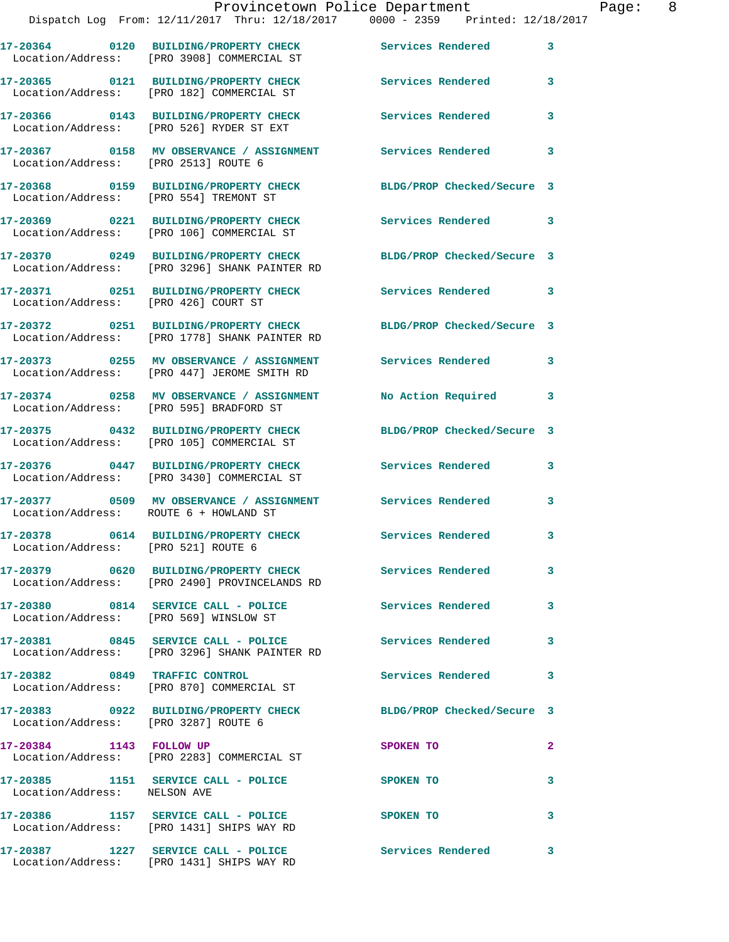|                                      | 17-20304 UIZO BUILDING/PROPERII CHECA<br>Location/Address: [PRO 3908] COMMERCIAL ST                      | pervices kendered          |              |
|--------------------------------------|----------------------------------------------------------------------------------------------------------|----------------------------|--------------|
|                                      | 17-20365 0121 BUILDING/PROPERTY CHECK<br>Location/Address: [PRO 182] COMMERCIAL ST                       | <b>Services Rendered</b>   | 3            |
|                                      | 17-20366 0143 BUILDING/PROPERTY CHECK<br>Location/Address: [PRO 526] RYDER ST EXT                        | Services Rendered          | 3            |
| Location/Address:                    | 17-20367 0158 MV OBSERVANCE / ASSIGNMENT<br>[PRO 2513] ROUTE 6                                           | <b>Services Rendered</b>   | 3            |
|                                      | 17-20368 0159 BUILDING/PROPERTY CHECK<br>Location/Address: [PRO 554] TREMONT ST                          | BLDG/PROP Checked/Secure 3 |              |
|                                      | 17-20369 0221 BUILDING/PROPERTY CHECK<br>Location/Address: [PRO 106] COMMERCIAL ST                       | Services Rendered          | 3            |
|                                      | 17-20370 0249 BUILDING/PROPERTY CHECK<br>Location/Address: [PRO 3296] SHANK PAINTER RD                   | BLDG/PROP Checked/Secure 3 |              |
| Location/Address: [PRO 426] COURT ST | 17-20371 0251 BUILDING/PROPERTY CHECK                                                                    | Services Rendered          | 3            |
|                                      | 17-20372 0251 BUILDING/PROPERTY CHECK<br>Location/Address: [PRO 1778] SHANK PAINTER RD                   | BLDG/PROP Checked/Secure 3 |              |
|                                      | 17-20373 0255 MV OBSERVANCE / ASSIGNMENT<br>Location/Address: [PRO 447] JEROME SMITH RD                  | Services Rendered          | 3            |
| Location/Address:                    | 17-20374 0258 MV OBSERVANCE / ASSIGNMENT<br>[PRO 595] BRADFORD ST                                        | No Action Required         | 3            |
| Location/Address:                    | 17-20375 0432 BUILDING/PROPERTY CHECK<br>[PRO 105] COMMERCIAL ST                                         | BLDG/PROP Checked/Secure 3 |              |
| Location/Address:                    | 17-20376 0447 BUILDING/PROPERTY CHECK<br>[PRO 3430] COMMERCIAL ST                                        | <b>Services Rendered</b>   | 3            |
|                                      | 17-20377 0509 MV OBSERVANCE / ASSIGNMENT<br>Location/Address: ROUTE 6 + HOWLAND ST                       | Services Rendered          | 3            |
| Location/Address: [PRO 521] ROUTE 6  | 17-20378 0614 BUILDING/PROPERTY CHECK                                                                    | <b>Services Rendered</b>   | 3            |
|                                      | 17-20379 0620 BUILDING/PROPERTY CHECK Services Rendered<br>Location/Address: [PRO 2490] PROVINCELANDS RD |                            | 3            |
|                                      | 17-20380 0814 SERVICE CALL - POLICE Services Rendered 3<br>Location/Address: [PRO 569] WINSLOW ST        |                            |              |
|                                      | 17-20381 0845 SERVICE CALL - POLICE<br>Location/Address: [PRO 3296] SHANK PAINTER RD                     | Services Rendered          | 3            |
| 17-20382 0849 TRAFFIC CONTROL        | Location/Address: [PRO 870] COMMERCIAL ST                                                                | Services Rendered 3        |              |
| Location/Address: [PRO 3287] ROUTE 6 | 17-20383 0922 BUILDING/PROPERTY CHECK                                                                    | BLDG/PROP Checked/Secure 3 |              |
| 17-20384 1143 FOLLOW UP              | Location/Address: [PRO 2283] COMMERCIAL ST                                                               | SPOKEN TO                  | $\mathbf{2}$ |
| Location/Address: NELSON AVE         | 17-20385 1151 SERVICE CALL - POLICE                                                                      | <b>SPOKEN TO</b>           | 3            |
|                                      | 17-20386 1157 SERVICE CALL - POLICE<br>Location/Address: [PRO 1431] SHIPS WAY RD                         | <b>SPOKEN TO</b>           | 3            |
|                                      | 17-20387 1227 SERVICE CALL - POLICE                                                                      | Services Rendered 3        |              |

Location/Address: [PRO 1431] SHIPS WAY RD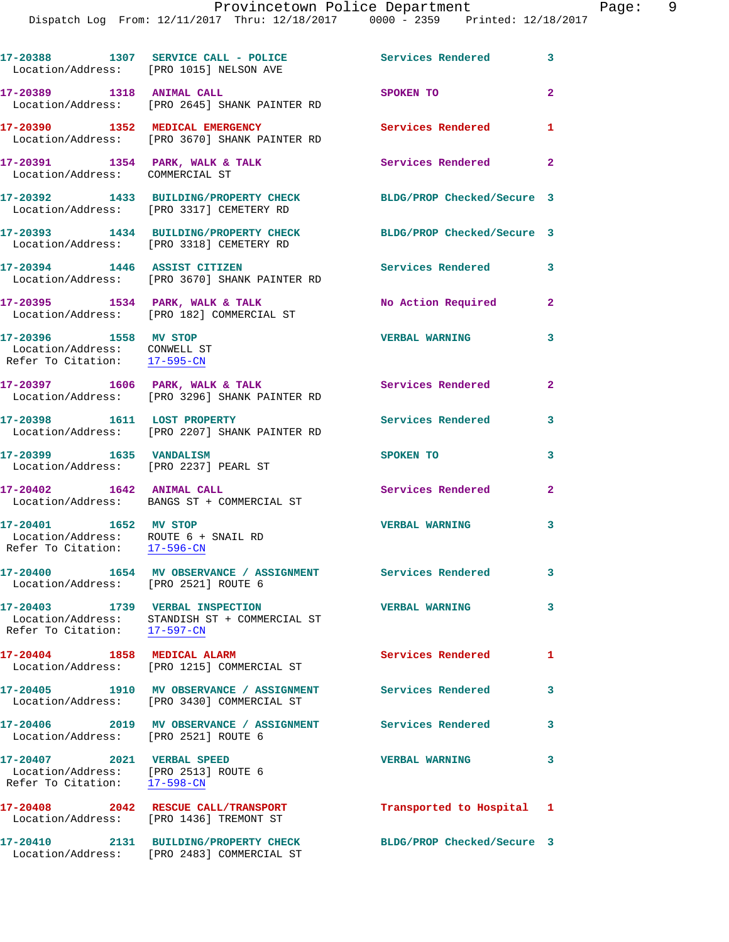Dispatch Log From: 12/11/2017 Thru: 12/18/2017 0000 - 2359 Printed: 12/18/2017

|                                                                                                    | 17-20388 1307 SERVICE CALL - POLICE Services Rendered 3<br>Location/Address: [PRO 1015] NELSON AVE |                            |                         |
|----------------------------------------------------------------------------------------------------|----------------------------------------------------------------------------------------------------|----------------------------|-------------------------|
| 17-20389 1318 ANIMAL CALL                                                                          | Location/Address: [PRO 2645] SHANK PAINTER RD                                                      | SPOKEN TO                  | $\overline{2}$          |
|                                                                                                    | 17-20390 1352 MEDICAL EMERGENCY<br>Location/Address: [PRO 3670] SHANK PAINTER RD                   | Services Rendered 1        |                         |
| Location/Address: COMMERCIAL ST                                                                    | 17-20391 1354 PARK, WALK & TALK                                                                    | Services Rendered          | $\mathbf{2}$            |
|                                                                                                    | 17-20392 1433 BUILDING/PROPERTY CHECK<br>Location/Address: [PRO 3317] CEMETERY RD                  | BLDG/PROP Checked/Secure 3 |                         |
|                                                                                                    | 17-20393 1434 BUILDING/PROPERTY CHECK<br>Location/Address: [PRO 3318] CEMETERY RD                  | BLDG/PROP Checked/Secure 3 |                         |
| 17-20394 1446 ASSIST CITIZEN                                                                       | Location/Address: [PRO 3670] SHANK PAINTER RD                                                      | Services Rendered 3        |                         |
|                                                                                                    | 17-20395 1534 PARK, WALK & TALK<br>Location/Address: [PRO 182] COMMERCIAL ST                       | No Action Required         | $\overline{2}$          |
| 17-20396 1558 MV STOP<br>Location/Address: CONWELL ST<br>Refer To Citation: 17-595-CN              |                                                                                                    | <b>VERBAL WARNING</b>      | 3                       |
|                                                                                                    | 17-20397 1606 PARK, WALK & TALK<br>Location/Address: [PRO 3296] SHANK PAINTER RD                   | Services Rendered 2        |                         |
|                                                                                                    | 17-20398 1611 LOST PROPERTY<br>Location/Address: [PRO 2207] SHANK PAINTER RD                       | Services Rendered          | 3                       |
| 17-20399    1635    VANDALISM                                                                      | Location/Address: [PRO 2237] PEARL ST                                                              | SPOKEN TO                  | 3                       |
|                                                                                                    | 17-20402   1642   ANIMAL CALL<br>Location/Address: BANGS ST + COMMERCIAL ST                        | Services Rendered          | $\overline{a}$          |
| 17-20401 1652 MV STOP<br>Location/Address: ROUTE 6 + SNAIL RD<br>Refer To Citation: 17-596-CN      |                                                                                                    | <b>VERBAL WARNING</b>      | $\overline{\mathbf{3}}$ |
| Location/Address: [PRO 2521] ROUTE 6                                                               | 17-20400 1654 MV OBSERVANCE / ASSIGNMENT                                                           | Services Rendered          | 3                       |
| 17-20403 1739 VERBAL INSPECTION                                                                    | Location/Address: STANDISH ST + COMMERCIAL ST<br>Refer To Citation: $\frac{17-597-CN}{17-597-CN}$  | <b>VERBAL WARNING</b>      | $\mathbf{3}$            |
| 17-20404 1858 MEDICAL ALARM                                                                        | Location/Address: [PRO 1215] COMMERCIAL ST                                                         | Services Rendered          | 1                       |
|                                                                                                    | 17-20405 1910 MV OBSERVANCE / ASSIGNMENT<br>Location/Address: [PRO 3430] COMMERCIAL ST             | Services Rendered          | 3                       |
| Location/Address: [PRO 2521] ROUTE 6                                                               | 17-20406 2019 MV OBSERVANCE / ASSIGNMENT                                                           | <b>Services Rendered</b>   | 3                       |
| 17-20407 2021 VERBAL SPEED<br>Location/Address: [PRO 2513] ROUTE 6<br>Refer To Citation: 17-598-CN |                                                                                                    | <b>VERBAL WARNING</b>      | 3                       |
|                                                                                                    | 17-20408 2042 RESCUE CALL/TRANSPORT<br>Location/Address: [PRO 1436] TREMONT ST                     | Transported to Hospital 1  |                         |
|                                                                                                    | 17-20410 2131 BUILDING/PROPERTY CHECK<br>Location/Address: [PRO 2483] COMMERCIAL ST                | BLDG/PROP Checked/Secure 3 |                         |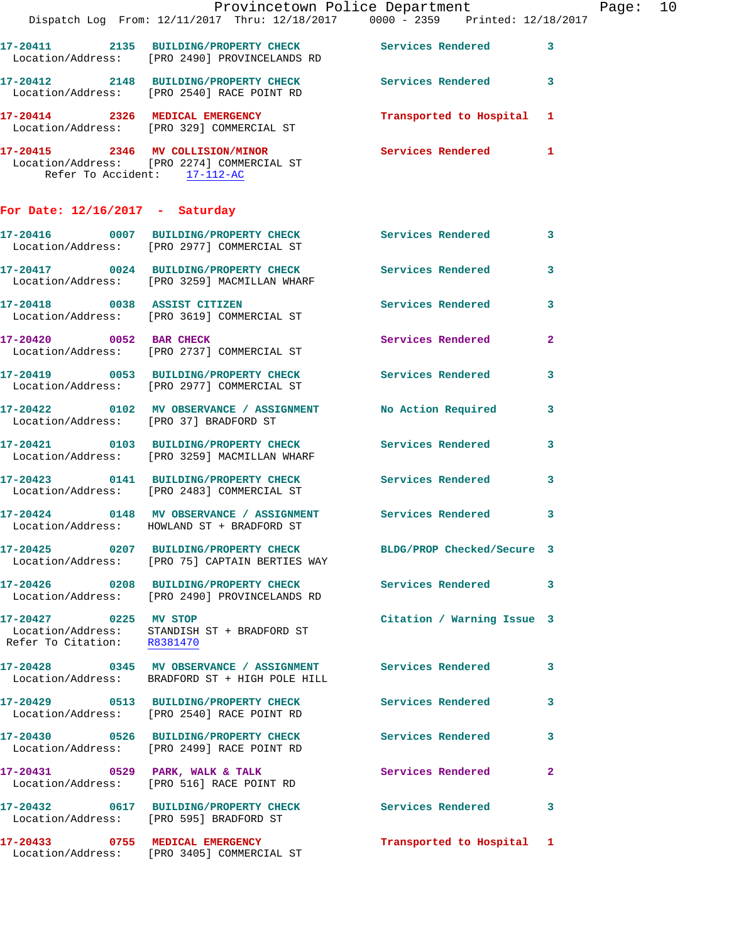|                                                      | Dispatch Log From: 12/11/2017 Thru: 12/18/2017 0000 - 2359 Printed: 12/18/2017                                                                 | Provincetown Police Department | $\mathbf P$             |  |
|------------------------------------------------------|------------------------------------------------------------------------------------------------------------------------------------------------|--------------------------------|-------------------------|--|
|                                                      | 17-20411 2135 BUILDING/PROPERTY CHECK Services Rendered<br>Location/Address: [PRO 2490] PROVINCELANDS RD                                       |                                | 3                       |  |
|                                                      | 17-20412 2148 BUILDING/PROPERTY CHECK Services Rendered<br>Location/Address: [PRO 2540] RACE POINT RD                                          |                                | 3                       |  |
|                                                      | 17-20414 2326 MEDICAL EMERGENCY<br>Location/Address: [PRO 329] COMMERCIAL ST                                                                   | Transported to Hospital        | 1                       |  |
|                                                      | 17-20415 2346 MV COLLISION/MINOR<br>Location/Address: [PRO 2274] COMMERCIAL ST<br>Refer To Accident: 17-112-AC<br>Refer To Accident: 17-112-AC | Services Rendered              | $\mathbf{1}$            |  |
| For Date: $12/16/2017$ - Saturday                    |                                                                                                                                                |                                |                         |  |
|                                                      | 17-20416 0007 BUILDING/PROPERTY CHECK Services Rendered<br>Location/Address: [PRO 2977] COMMERCIAL ST                                          |                                | 3                       |  |
|                                                      | 17-20417 0024 BUILDING/PROPERTY CHECK Services Rendered<br>Location/Address: [PRO 3259] MACMILLAN WHARF                                        |                                | 3                       |  |
|                                                      | 17-20418 0038 ASSIST CITIZEN<br>Location/Address: [PRO 3619] COMMERCIAL ST                                                                     | <b>Services Rendered</b>       | 3                       |  |
| 17-20420 0052 BAR CHECK                              | Location/Address: [PRO 2737] COMMERCIAL ST                                                                                                     | Services Rendered              | $\overline{\mathbf{2}}$ |  |
|                                                      | 17-20419 0053 BUILDING/PROPERTY CHECK<br>Location/Address: [PRO 2977] COMMERCIAL ST                                                            | <b>Services Rendered</b>       | 3                       |  |
|                                                      | 17-20422 0102 MV OBSERVANCE / ASSIGNMENT No Action Required<br>Location/Address: [PRO 37] BRADFORD ST                                          |                                | 3                       |  |
|                                                      | 17-20421 0103 BUILDING/PROPERTY CHECK Services Rendered Location/Address: [PRO 3259] MACMILLAN WHARF                                           |                                | 3                       |  |
|                                                      | 17-20423 0141 BUILDING/PROPERTY CHECK Services Rendered<br>Location/Address: [PRO 2483] COMMERCIAL ST                                          |                                | 3                       |  |
|                                                      | 17-20424 0148 MV OBSERVANCE / ASSIGNMENT<br>Location/Address: HOWLAND ST + BRADFORD ST                                                         | Services Rendered              | 3                       |  |
|                                                      | 17-20425 0207 BUILDING/PROPERTY CHECK<br>Location/Address: [PRO 75] CAPTAIN BERTIES WAY                                                        | BLDG/PROP Checked/Secure 3     |                         |  |
|                                                      | 17-20426 0208 BUILDING/PROPERTY CHECK<br>Location/Address: [PRO 2490] PROVINCELANDS RD                                                         | Services Rendered              | 3                       |  |
| 17-20427 0225 MV STOP<br>Refer To Citation: R8381470 | Location/Address: STANDISH ST + BRADFORD ST                                                                                                    | Citation / Warning Issue 3     |                         |  |
|                                                      | 17-20428 0345 MV OBSERVANCE / ASSIGNMENT Services Rendered<br>Location/Address: BRADFORD ST + HIGH POLE HILL                                   |                                | 3                       |  |
|                                                      | 17-20429 0513 BUILDING/PROPERTY CHECK<br>Location/Address: [PRO 2540] RACE POINT RD                                                            | Services Rendered              | 3                       |  |
|                                                      | 17-20430 0526 BUILDING/PROPERTY CHECK<br>Location/Address: [PRO 2499] RACE POINT RD                                                            | <b>Services Rendered</b>       | 3                       |  |
| 17-20431 0529 PARK, WALK & TALK                      | Location/Address: [PRO 516] RACE POINT RD                                                                                                      | Services Rendered              | 2                       |  |
|                                                      | 17-20432 0617 BUILDING/PROPERTY CHECK<br>Location/Address: [PRO 595] BRADFORD ST                                                               | <b>Services Rendered</b>       | 3                       |  |
| 17-20433 0755 MEDICAL EMERGENCY                      | Location/Address: [PRO 3405] COMMERCIAL ST                                                                                                     | Transported to Hospital 1      |                         |  |

age: 10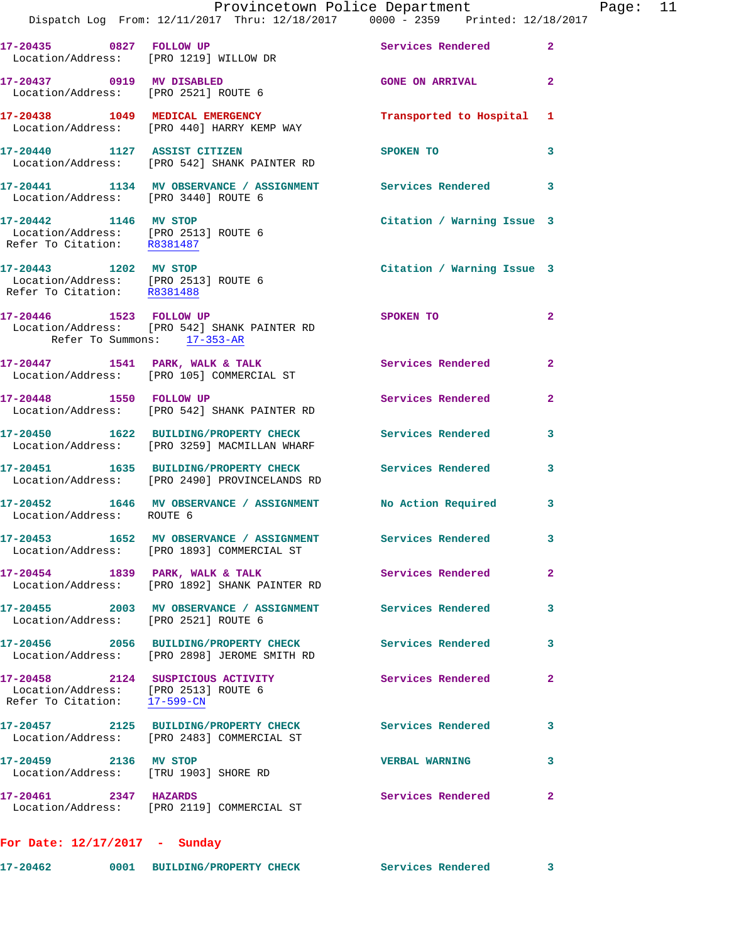|                                                                                              | Dispatch Log From: 12/11/2017 Thru: 12/18/2017 0000 - 2359 Printed: 12/18/2017                              | Provincetown Police Department |              | Page: 11 |  |
|----------------------------------------------------------------------------------------------|-------------------------------------------------------------------------------------------------------------|--------------------------------|--------------|----------|--|
|                                                                                              | 17-20435 0827 FOLLOW UP<br>Location/Address: [PRO 1219] WILLOW DR                                           | Services Rendered 2            |              |          |  |
|                                                                                              | 17-20437 0919 MV DISABLED<br>Location/Address: [PRO 2521] ROUTE 6                                           | <b>GONE ON ARRIVAL</b>         | $\mathbf{2}$ |          |  |
|                                                                                              | 17-20438 1049 MEDICAL EMERGENCY <b>Transported to Hospital</b> 1 Location/Address: [PRO 440] HARRY KEMP WAY |                                |              |          |  |
|                                                                                              | 17-20440 1127 ASSIST CITIZEN<br>Location/Address: [PRO 542] SHANK PAINTER RD                                | SPOKEN TO                      | 3            |          |  |
| Location/Address: [PRO 3440] ROUTE 6                                                         | 17-20441 1134 MV OBSERVANCE / ASSIGNMENT Services Rendered 3                                                |                                |              |          |  |
| 17-20442 1146 MV STOP<br>Location/Address: [PRO 2513] ROUTE 6<br>Refer To Citation: R8381487 |                                                                                                             | Citation / Warning Issue 3     |              |          |  |
| 17-20443 1202 MV STOP<br>Location/Address: [PRO 2513] ROUTE 6<br>Refer To Citation: R8381488 |                                                                                                             | Citation / Warning Issue 3     |              |          |  |
| Refer To Summons: 17-353-AR                                                                  | 17-20446 1523 FOLLOW UP<br>Location/Address: [PRO 542] SHANK PAINTER RD                                     | SPOKEN TO                      | 2            |          |  |
|                                                                                              | $17-20447$ 1541 PARK, WALK & TALK<br>Location/Address: [PRO 105] COMMERCIAL ST                              | Services Rendered              | $\mathbf{2}$ |          |  |
|                                                                                              | 17-20448 1550 FOLLOW UP<br>Location/Address: [PRO 542] SHANK PAINTER RD                                     | Services Rendered              | $\mathbf{2}$ |          |  |
|                                                                                              | 17-20450 1622 BUILDING/PROPERTY CHECK Services Rendered<br>Location/Address: [PRO 3259] MACMILLAN WHARF     |                                | 3            |          |  |
|                                                                                              | 17-20451 1635 BUILDING/PROPERTY CHECK Services Rendered 3<br>Location/Address: [PRO 2490] PROVINCELANDS RD  |                                |              |          |  |
| Location/Address: ROUTE 6                                                                    | 17-20452 1646 MV OBSERVANCE / ASSIGNMENT No Action Required                                                 |                                | 3            |          |  |
|                                                                                              | 17-20453 1652 MV OBSERVANCE / ASSIGNMENT<br>Location/Address: [PRO 1893] COMMERCIAL ST                      | <b>Services Rendered</b>       | 3            |          |  |
|                                                                                              | 17-20454 1839 PARK, WALK & TALK 1999 Services Rendered<br>Location/Address: [PRO 1892] SHANK PAINTER RD     |                                | $\mathbf{2}$ |          |  |
| Location/Address: [PRO 2521] ROUTE 6                                                         | 17-20455 2003 MV OBSERVANCE / ASSIGNMENT Services Rendered                                                  |                                | 3            |          |  |
|                                                                                              | 17-20456 2056 BUILDING/PROPERTY CHECK Services Rendered<br>Location/Address: [PRO 2898] JEROME SMITH RD     |                                | 3            |          |  |
| Location/Address: [PRO 2513] ROUTE 6<br>Refer To Citation: 17-599-CN                         | 17-20458 2124 SUSPICIOUS ACTIVITY                                                                           | <b>Services Rendered</b>       | $\mathbf{2}$ |          |  |
|                                                                                              | 17-20457 2125 BUILDING/PROPERTY CHECK Services Rendered<br>Location/Address: [PRO 2483] COMMERCIAL ST       |                                | 3            |          |  |
| 17-20459 2136 MV STOP                                                                        | Location/Address: [TRU 1903] SHORE RD                                                                       | <b>VERBAL WARNING</b>          | $\mathbf{3}$ |          |  |
| 17-20461 2347 HAZARDS                                                                        | Location/Address: [PRO 2119] COMMERCIAL ST                                                                  | Services Rendered              | $\mathbf{2}$ |          |  |
| For Date: $12/17/2017$ - Sunday                                                              |                                                                                                             |                                |              |          |  |

| 17-20462 | BUILDING/PROPERTY CHECK | Services Rendered |  |
|----------|-------------------------|-------------------|--|
|          |                         |                   |  |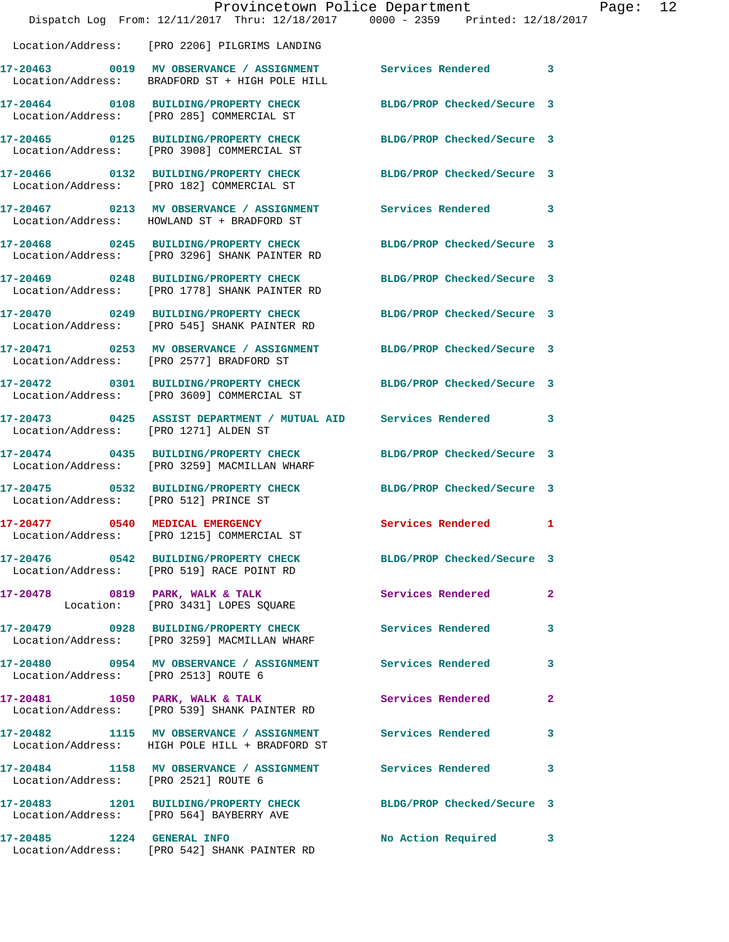|                                      | Provincetown Police Department                                                                                  |                            |                |
|--------------------------------------|-----------------------------------------------------------------------------------------------------------------|----------------------------|----------------|
|                                      | Dispatch Log From: 12/11/2017 Thru: 12/18/2017 0000 - 2359 Printed: 12/18/2017                                  |                            |                |
|                                      | Location/Address: [PRO 2206] PILGRIMS LANDING                                                                   |                            |                |
|                                      | 17-20463 0019 MV OBSERVANCE / ASSIGNMENT Services Rendered<br>Location/Address: BRADFORD ST + HIGH POLE HILL    |                            | 3              |
|                                      | 17-20464 0108 BUILDING/PROPERTY CHECK<br>Location/Address: [PRO 285] COMMERCIAL ST                              | BLDG/PROP Checked/Secure 3 |                |
|                                      | 17-20465 0125 BUILDING/PROPERTY CHECK<br>Location/Address: [PRO 3908] COMMERCIAL ST                             | BLDG/PROP Checked/Secure 3 |                |
|                                      | 17-20466 0132 BUILDING/PROPERTY CHECK<br>Location/Address: [PRO 182] COMMERCIAL ST                              | BLDG/PROP Checked/Secure 3 |                |
|                                      | 17-20467 0213 MV OBSERVANCE / ASSIGNMENT<br>Location/Address: HOWLAND ST + BRADFORD ST                          | <b>Services Rendered</b>   | 3              |
|                                      | 17-20468 0245 BUILDING/PROPERTY CHECK<br>Location/Address: [PRO 3296] SHANK PAINTER RD                          | BLDG/PROP Checked/Secure 3 |                |
|                                      | 17-20469 0248 BUILDING/PROPERTY CHECK<br>Location/Address: [PRO 1778] SHANK PAINTER RD                          | BLDG/PROP Checked/Secure 3 |                |
|                                      | 17-20470 0249 BUILDING/PROPERTY CHECK<br>Location/Address: [PRO 545] SHANK PAINTER RD                           | BLDG/PROP Checked/Secure 3 |                |
|                                      | 17-20471 0253 MV OBSERVANCE / ASSIGNMENT BLDG/PROP Checked/Secure 3<br>Location/Address: [PRO 2577] BRADFORD ST |                            |                |
|                                      | 17-20472 0301 BUILDING/PROPERTY CHECK BLDG/PROP Checked/Secure 3<br>Location/Address: [PRO 3609] COMMERCIAL ST  |                            |                |
|                                      | 17-20473 0425 ASSIST DEPARTMENT / MUTUAL AID Services Rendered<br>Location/Address: [PRO 1271] ALDEN ST         |                            | 3              |
|                                      | 17-20474 0435 BUILDING/PROPERTY CHECK<br>Location/Address: [PRO 3259] MACMILLAN WHARF                           | BLDG/PROP Checked/Secure 3 |                |
|                                      | 17-20475 0532 BUILDING/PROPERTY CHECK<br>Location/Address: [PRO 512] PRINCE ST                                  | BLDG/PROP Checked/Secure 3 |                |
|                                      | 17-20477 0540 MEDICAL EMERGENCY<br>Location/Address: [PRO 1215] COMMERCIAL ST                                   | Services Rendered          | 1              |
|                                      | 17-20476  0542 BUILDING/PROPERTY CHECK BLDG/PROP Checked/Secure 3<br>Location/Address: [PRO 519] RACE POINT RD  |                            |                |
|                                      | 17-20478 0819 PARK, WALK & TALK<br>Location: [PRO 3431] LOPES SQUARE                                            | <b>Services Rendered</b>   | $\overline{a}$ |
|                                      | 17-20479 0928 BUILDING/PROPERTY CHECK<br>Location/Address: [PRO 3259] MACMILLAN WHARF                           | <b>Services Rendered</b>   | 3              |
| Location/Address: [PRO 2513] ROUTE 6 | 17-20480 0954 MV OBSERVANCE / ASSIGNMENT Services Rendered                                                      |                            | 3              |
|                                      | 17-20481 1050 PARK, WALK & TALK<br>Location/Address: [PRO 539] SHANK PAINTER RD                                 | <b>Services Rendered</b>   | 2              |
|                                      | 17-20482 1115 MV OBSERVANCE / ASSIGNMENT Services Rendered<br>Location/Address: HIGH POLE HILL + BRADFORD ST    |                            | 3              |
| Location/Address: [PRO 2521] ROUTE 6 | 17-20484 1158 MV OBSERVANCE / ASSIGNMENT Services Rendered                                                      |                            | 3              |
|                                      | 17-20483 1201 BUILDING/PROPERTY CHECK BLDG/PROP Checked/Secure 3<br>Location/Address: [PRO 564] BAYBERRY AVE    |                            |                |
|                                      | 17-20485 1224 GENERAL INFO<br>Location/Address: [PRO 542] SHANK PAINTER RD                                      | No Action Required         | 3              |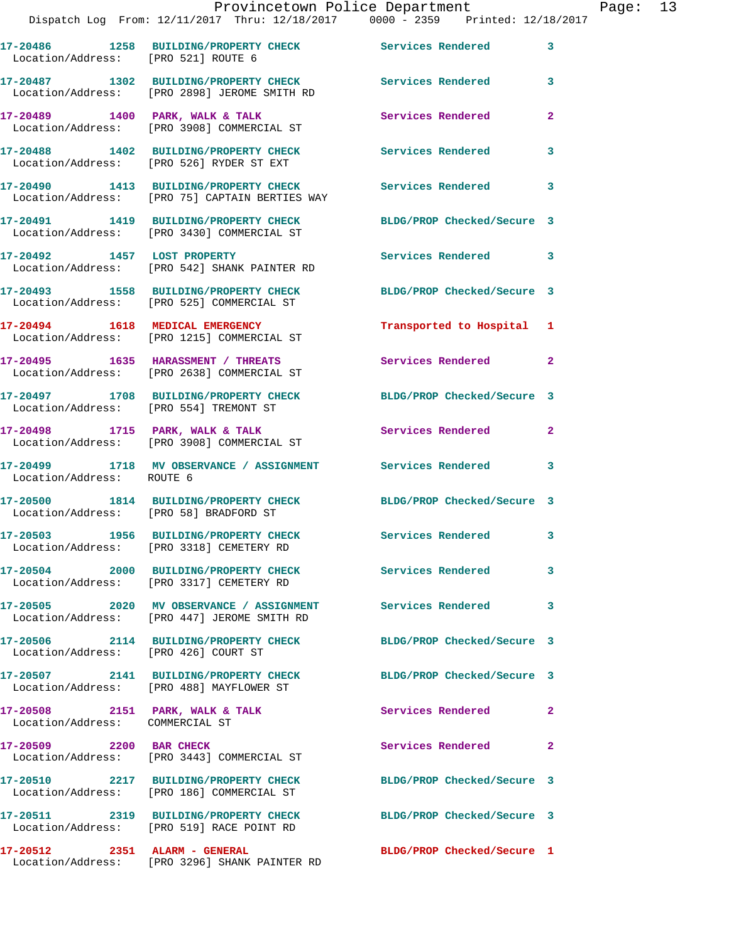|                                        | Provincetown Police Department<br>Dispatch Log From: 12/11/2017 Thru: 12/18/2017 0000 - 2359 Printed: 12/18/2017 |                            |              |
|----------------------------------------|------------------------------------------------------------------------------------------------------------------|----------------------------|--------------|
|                                        |                                                                                                                  |                            |              |
| Location/Address: [PRO 521] ROUTE 6    | 17-20486 1258 BUILDING/PROPERTY CHECK Services Rendered                                                          |                            | 3            |
|                                        | 17-20487 1302 BUILDING/PROPERTY CHECK Services Rendered<br>Location/Address: [PRO 2898] JEROME SMITH RD          |                            | 3            |
|                                        | 17-20489 1400 PARK, WALK & TALK<br>Location/Address: [PRO 3908] COMMERCIAL ST                                    | <b>Services Rendered</b>   | $\mathbf{2}$ |
|                                        | 17-20488 1402 BUILDING/PROPERTY CHECK Services Rendered<br>Location/Address: [PRO 526] RYDER ST EXT              |                            | 3            |
|                                        | 17-20490 1413 BUILDING/PROPERTY CHECK<br>Location/Address: [PRO 75] CAPTAIN BERTIES WAY                          | <b>Services Rendered</b>   | 3            |
|                                        | 17-20491 1419 BUILDING/PROPERTY CHECK BLDG/PROP Checked/Secure 3<br>Location/Address: [PRO 3430] COMMERCIAL ST   |                            |              |
|                                        | 17-20492 1457 LOST PROPERTY<br>Location/Address: [PRO 542] SHANK PAINTER RD                                      | Services Rendered          | 3            |
|                                        | 17-20493 1558 BUILDING/PROPERTY CHECK BLDG/PROP Checked/Secure 3<br>Location/Address: [PRO 525] COMMERCIAL ST    |                            |              |
|                                        | 17-20494 1618 MEDICAL EMERGENCY<br>Location/Address: [PRO 1215] COMMERCIAL ST                                    | Transported to Hospital    | 1            |
|                                        | 17-20495 1635 HARASSMENT / THREATS<br>Location/Address: [PRO 2638] COMMERCIAL ST                                 | Services Rendered          | $\mathbf{2}$ |
|                                        | 17-20497 1708 BUILDING/PROPERTY CHECK<br>Location/Address: [PRO 554] TREMONT ST                                  | BLDG/PROP Checked/Secure 3 |              |
|                                        | 17-20498 1715 PARK, WALK & TALK<br>Location/Address: [PRO 3908] COMMERCIAL ST                                    | <b>Services Rendered</b>   | 2            |
| Location/Address: ROUTE 6              | 17-20499 1718 MV OBSERVANCE / ASSIGNMENT Services Rendered                                                       |                            | 3            |
| Location/Address: [PRO 58] BRADFORD ST | 17-20500 1814 BUILDING/PROPERTY CHECK                                                                            | BLDG/PROP Checked/Secure 3 |              |
|                                        | 17-20503 1956 BUILDING/PROPERTY CHECK<br>Location/Address: [PRO 3318] CEMETERY RD                                | Services Rendered          | 3            |
|                                        | 17-20504 2000 BUILDING/PROPERTY CHECK<br>Location/Address: [PRO 3317] CEMETERY RD                                | <b>Services Rendered</b>   | 3            |
|                                        | 17-20505 2020 MV OBSERVANCE / ASSIGNMENT<br>Location/Address: [PRO 447] JEROME SMITH RD                          | <b>Services Rendered</b>   | 3            |
| Location/Address: [PRO 426] COURT ST   | 17-20506 2114 BUILDING/PROPERTY CHECK                                                                            | BLDG/PROP Checked/Secure 3 |              |
|                                        | 17-20507 2141 BUILDING/PROPERTY CHECK<br>Location/Address: [PRO 488] MAYFLOWER ST                                | BLDG/PROP Checked/Secure 3 |              |
| Location/Address: COMMERCIAL ST        | 17-20508 2151 PARK, WALK & TALK                                                                                  | Services Rendered          | $\mathbf{2}$ |
| 17-20509 2200 BAR CHECK                | Location/Address: [PRO 3443] COMMERCIAL ST                                                                       | Services Rendered          | $\mathbf{2}$ |
|                                        | 17-20510 2217 BUILDING/PROPERTY CHECK<br>Location/Address: [PRO 186] COMMERCIAL ST                               | BLDG/PROP Checked/Secure 3 |              |
|                                        |                                                                                                                  |                            |              |

**17-20511 2319 BUILDING/PROPERTY CHECK BLDG/PROP Checked/Secure 3**  Location/Address: [PRO 519] RACE POINT RD

**17-20512 2351 ALARM - GENERAL BLDG/PROP Checked/Secure 1**  Location/Address: [PRO 3296] SHANK PAINTER RD